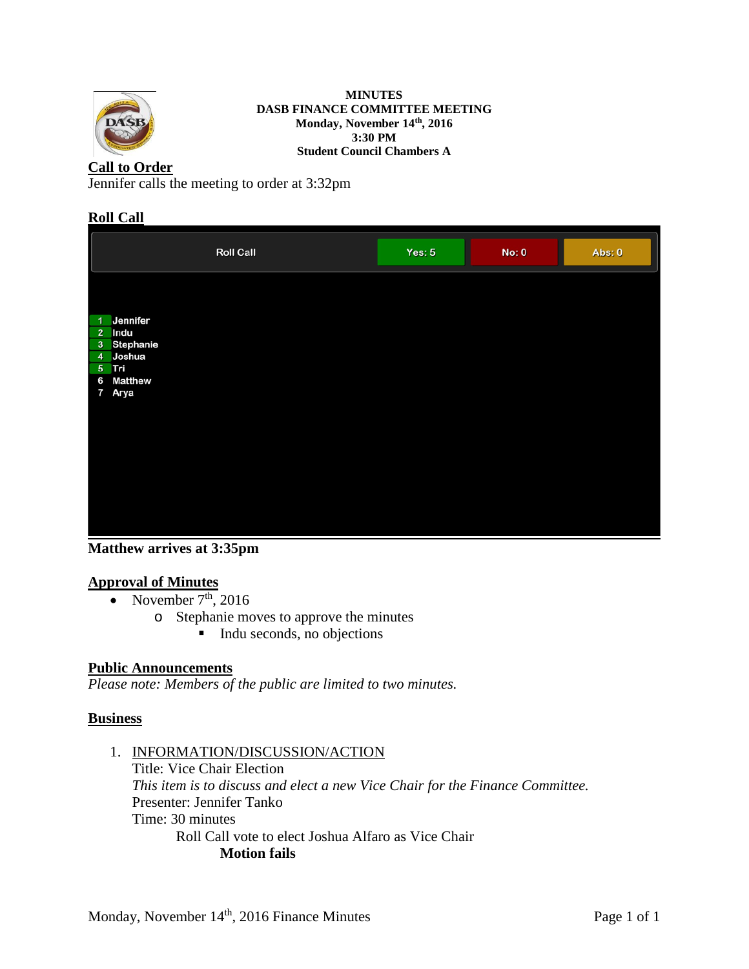

**MINUTES DASB FINANCE COMMITTEE MEETING Monday, November 14th, 2016 3:30 PM Student Council Chambers A**

# **Call to Order**

Jennifer calls the meeting to order at 3:32pm

### **Roll Call**

|                | <b>Roll Call</b>  | Yes: $5$ | No: 0 | Abs: 0 |
|----------------|-------------------|----------|-------|--------|
|                |                   |          |       |        |
| 1              | Jennifer          |          |       |        |
| $\overline{2}$ | Indu              |          |       |        |
|                | 3 Stephanie       |          |       |        |
|                | 4 Joshua<br>5 Tri |          |       |        |
| 6              | <b>Matthew</b>    |          |       |        |
|                | 7 Arya            |          |       |        |
|                |                   |          |       |        |
|                |                   |          |       |        |
|                |                   |          |       |        |
|                |                   |          |       |        |
|                |                   |          |       |        |
|                |                   |          |       |        |
|                |                   |          |       |        |
|                |                   |          |       |        |
|                |                   |          |       |        |
|                |                   |          |       |        |

**Matthew arrives at 3:35pm**

### **Approval of Minutes**

- November  $7<sup>th</sup>$ , 2016
	- o Stephanie moves to approve the minutes
		- $\blacksquare$  Indu seconds, no objections

### **Public Announcements**

*Please note: Members of the public are limited to two minutes.* 

### **Business**

1. INFORMATION/DISCUSSION/ACTION

Title: Vice Chair Election *This item is to discuss and elect a new Vice Chair for the Finance Committee.* Presenter: Jennifer Tanko Time: 30 minutes Roll Call vote to elect Joshua Alfaro as Vice Chair **Motion fails**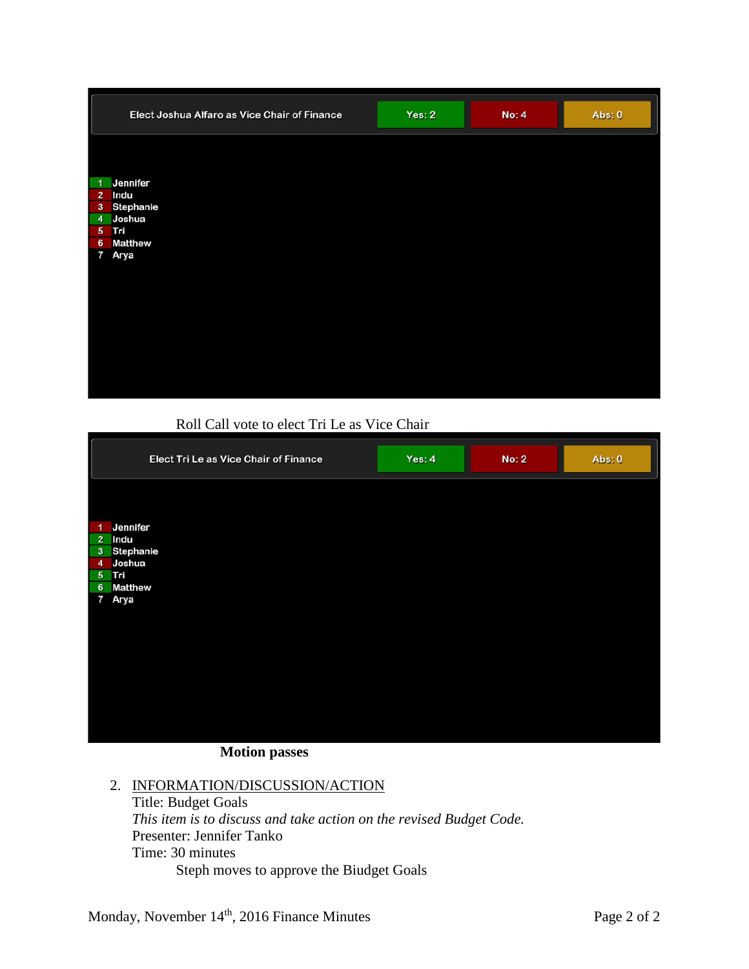|                | Elect Joshua Alfaro as Vice Chair of Finance | Yes: $2$ | <b>No: 4</b> | Abs: 0 |
|----------------|----------------------------------------------|----------|--------------|--------|
|                |                                              |          |              |        |
|                | 1 Jennifer                                   |          |              |        |
| $\overline{2}$ | Indu                                         |          |              |        |
| 3              | Stephanie                                    |          |              |        |
|                | 4 Joshua                                     |          |              |        |
| $6\phantom{1}$ | 5 Tri<br><b>Matthew</b>                      |          |              |        |
|                | 7 Arya                                       |          |              |        |
|                |                                              |          |              |        |
|                |                                              |          |              |        |
|                |                                              |          |              |        |
|                |                                              |          |              |        |
|                |                                              |          |              |        |
|                |                                              |          |              |        |
|                |                                              |          |              |        |
|                |                                              |          |              |        |
|                |                                              |          |              |        |
|                |                                              |          |              |        |

Roll Call vote to elect Tri Le as Vice Chair

|                | Elect Tri Le as Vice Chair of Finance | Yes: 4 | <b>No: 2</b> | Abs: 0 |
|----------------|---------------------------------------|--------|--------------|--------|
|                |                                       |        |              |        |
| 1              | Jennifer                              |        |              |        |
|                | 2 Indu                                |        |              |        |
|                | 3 Stephanie                           |        |              |        |
| $\overline{4}$ | Joshua                                |        |              |        |
|                | 5 Tri                                 |        |              |        |
| $6\phantom{1}$ | <b>Matthew</b>                        |        |              |        |
| 7              | Arya                                  |        |              |        |
|                |                                       |        |              |        |
|                |                                       |        |              |        |
|                |                                       |        |              |        |
|                |                                       |        |              |        |
|                |                                       |        |              |        |
|                |                                       |        |              |        |
|                |                                       |        |              |        |
|                |                                       |        |              |        |
|                |                                       |        |              |        |
|                |                                       |        |              |        |
|                |                                       |        |              |        |

**Motion passes**

### 2. INFORMATION/DISCUSSION/ACTION

Title: Budget Goals *This item is to discuss and take action on the revised Budget Code.* Presenter: Jennifer Tanko Time: 30 minutes Steph moves to approve the Biudget Goals